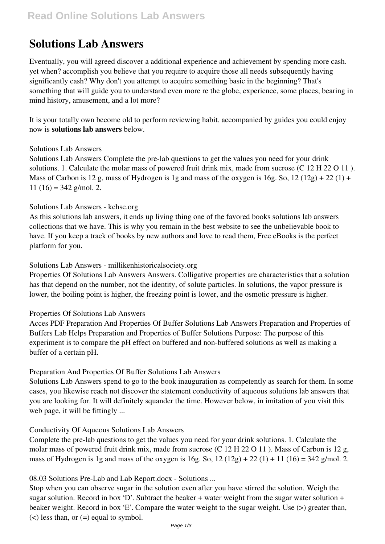# **Solutions Lab Answers**

Eventually, you will agreed discover a additional experience and achievement by spending more cash. yet when? accomplish you believe that you require to acquire those all needs subsequently having significantly cash? Why don't you attempt to acquire something basic in the beginning? That's something that will guide you to understand even more re the globe, experience, some places, bearing in mind history, amusement, and a lot more?

It is your totally own become old to perform reviewing habit. accompanied by guides you could enjoy now is **solutions lab answers** below.

# Solutions Lab Answers

Solutions Lab Answers Complete the pre-lab questions to get the values you need for your drink solutions. 1. Calculate the molar mass of powered fruit drink mix, made from sucrose (C 12 H 22 O 11). Mass of Carbon is 12 g, mass of Hydrogen is 1g and mass of the oxygen is 16g. So,  $12(12g) + 22(1) +$ 11 (16) = 342 g/mol. 2.

### Solutions Lab Answers - kchsc.org

As this solutions lab answers, it ends up living thing one of the favored books solutions lab answers collections that we have. This is why you remain in the best website to see the unbelievable book to have. If you keep a track of books by new authors and love to read them, Free eBooks is the perfect platform for you.

### Solutions Lab Answers - millikenhistoricalsociety.org

Properties Of Solutions Lab Answers Answers. Colligative properties are characteristics that a solution has that depend on the number, not the identity, of solute particles. In solutions, the vapor pressure is lower, the boiling point is higher, the freezing point is lower, and the osmotic pressure is higher.

# Properties Of Solutions Lab Answers

Acces PDF Preparation And Properties Of Buffer Solutions Lab Answers Preparation and Properties of Buffers Lab Helps Preparation and Properties of Buffer Solutions Purpose: The purpose of this experiment is to compare the pH effect on buffered and non-buffered solutions as well as making a buffer of a certain pH.

# Preparation And Properties Of Buffer Solutions Lab Answers

Solutions Lab Answers spend to go to the book inauguration as competently as search for them. In some cases, you likewise reach not discover the statement conductivity of aqueous solutions lab answers that you are looking for. It will definitely squander the time. However below, in imitation of you visit this web page, it will be fittingly ...

# Conductivity Of Aqueous Solutions Lab Answers

Complete the pre-lab questions to get the values you need for your drink solutions. 1. Calculate the molar mass of powered fruit drink mix, made from sucrose (C 12 H 22 O 11 ). Mass of Carbon is 12 g, mass of Hydrogen is 1g and mass of the oxygen is 16g. So,  $12(12g) + 22(1) + 11(16) = 342$  g/mol. 2.

# 08.03 Solutions Pre-Lab and Lab Report.docx - Solutions ...

Stop when you can observe sugar in the solution even after you have stirred the solution. Weigh the sugar solution. Record in box 'D'. Subtract the beaker  $+$  water weight from the sugar water solution  $+$ beaker weight. Record in box 'E'. Compare the water weight to the sugar weight. Use (>) greater than,  $(<)$  less than, or  $(=)$  equal to symbol.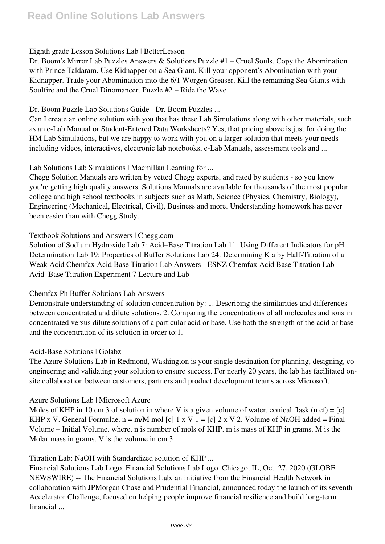# Eighth grade Lesson Solutions Lab | BetterLesson

Dr. Boom's Mirror Lab Puzzles Answers & Solutions Puzzle #1 – Cruel Souls. Copy the Abomination with Prince Taldaram. Use Kidnapper on a Sea Giant. Kill your opponent's Abomination with your Kidnapper. Trade your Abomination into the 6/1 Worgen Greaser. Kill the remaining Sea Giants with Soulfire and the Cruel Dinomancer. Puzzle #2 – Ride the Wave

## Dr. Boom Puzzle Lab Solutions Guide - Dr. Boom Puzzles ...

Can I create an online solution with you that has these Lab Simulations along with other materials, such as an e-Lab Manual or Student-Entered Data Worksheets? Yes, that pricing above is just for doing the HM Lab Simulations, but we are happy to work with you on a larger solution that meets your needs including videos, interactives, electronic lab notebooks, e-Lab Manuals, assessment tools and ...

Lab Solutions Lab Simulations | Macmillan Learning for ...

Chegg Solution Manuals are written by vetted Chegg experts, and rated by students - so you know you're getting high quality answers. Solutions Manuals are available for thousands of the most popular college and high school textbooks in subjects such as Math, Science (Physics, Chemistry, Biology), Engineering (Mechanical, Electrical, Civil), Business and more. Understanding homework has never been easier than with Chegg Study.

# Textbook Solutions and Answers | Chegg.com

Solution of Sodium Hydroxide Lab 7: Acid–Base Titration Lab 11: Using Different Indicators for pH Determination Lab 19: Properties of Buffer Solutions Lab 24: Determining K a by Half-Titration of a Weak Acid Chemfax Acid Base Titration Lab Answers - ESNZ Chemfax Acid Base Titration Lab Acid–Base Titration Experiment 7 Lecture and Lab

# Chemfax Ph Buffer Solutions Lab Answers

Demonstrate understanding of solution concentration by: 1. Describing the similarities and differences between concentrated and dilute solutions. 2. Comparing the concentrations of all molecules and ions in concentrated versus dilute solutions of a particular acid or base. Use both the strength of the acid or base and the concentration of its solution in order to:1.

# Acid-Base Solutions | Golabz

The Azure Solutions Lab in Redmond, Washington is your single destination for planning, designing, coengineering and validating your solution to ensure success. For nearly 20 years, the lab has facilitated onsite collaboration between customers, partners and product development teams across Microsoft.

# Azure Solutions Lab | Microsoft Azure

Moles of KHP in 10 cm 3 of solution in where V is a given volume of water. conical flask (n cf) =  $[c]$ KHP x V. General Formulae.  $n = m/M$  mol [c] 1 x V 1 = [c] 2 x V 2. Volume of NaOH added = Final Volume – Initial Volume. where. n is number of mols of KHP. m is mass of KHP in grams. M is the Molar mass in grams. V is the volume in cm 3

# Titration Lab: NaOH with Standardized solution of KHP ...

Financial Solutions Lab Logo. Financial Solutions Lab Logo. Chicago, IL, Oct. 27, 2020 (GLOBE NEWSWIRE) -- The Financial Solutions Lab, an initiative from the Financial Health Network in collaboration with JPMorgan Chase and Prudential Financial, announced today the launch of its seventh Accelerator Challenge, focused on helping people improve financial resilience and build long-term financial ...